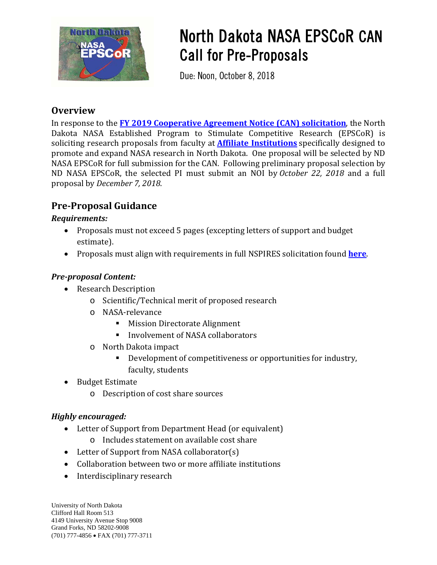

# North Dakota NASA EPSCoR CAN Call for Pre-Proposals

Due: Noon, October 8, 2018

## **Overview**

In response to the **[FY 2019 Cooperative Agreement Notice \(CAN\) solicitation](https://nspires.nasaprs.com/external/solicitations/summary!init.do?solId=%7bCA6EDE8A-2209-229A-650F-AA2F342D0953%7d&path=open)**, the North Dakota NASA Established Program to Stimulate Competitive Research (EPSCoR) is soliciting research proposals from faculty at **[Affiliate Institutions](http://ndnasaepscor.und.edu/affiliate-members.aspx)** specifically designed to promote and expand NASA research in North Dakota. One proposal will be selected by ND NASA EPSCoR for full submission for the CAN. Following preliminary proposal selection by ND NASA EPSCoR, the selected PI must submit an NOI by *October 22, 2018* and a full proposal by *December 7, 2018*.

# **Pre-Proposal Guidance**

#### *Requirements:*

- Proposals must not exceed 5 pages (excepting letters of support and budget estimate).
- Proposals must align with requirements in full NSPIRES solicitation found **[here](https://nspires.nasaprs.com/external/viewrepositorydocument/cmdocumentid=648411/solicitationId=%7BCA6EDE8A-2209-229A-650F-AA2F342D0953%7D/viewSolicitationDocument=1/FINAL%20DRAFT_2019%20Research%20CAN%20(3).pdf)**.

#### *Pre-proposal Content:*

- Research Description
	- o Scientific/Technical merit of proposed research
	- o NASA-relevance
		- **Mission Directorate Alignment**
		- Involvement of NASA collaborators
	- o North Dakota impact
		- Development of competitiveness or opportunities for industry, faculty, students
- Budget Estimate
	- o Description of cost share sources

#### *Highly encouraged:*

- Letter of Support from Department Head (or equivalent)
	- o Includes statement on available cost share
- Letter of Support from NASA collaborator(s)
- Collaboration between two or more affiliate institutions
- Interdisciplinary research

University of North Dakota Clifford Hall Room 513 4149 University Avenue Stop 9008 Grand Forks, ND 58202-9008 (701) 777-4856 • FAX (701) 777-3711